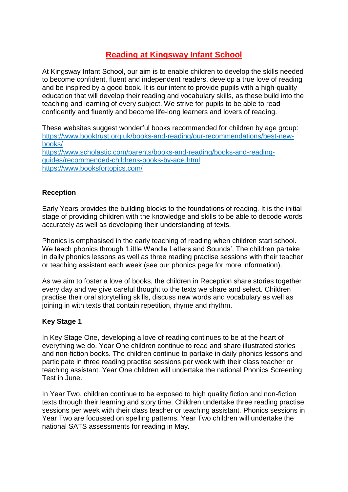# **Reading at Kingsway Infant School**

At Kingsway Infant School, our aim is to enable children to develop the skills needed to become confident, fluent and independent readers, develop a true love of reading and be inspired by a good book. It is our intent to provide pupils with a high-quality education that will develop their reading and vocabulary skills, as these build into the teaching and learning of every subject. We strive for pupils to be able to read confidently and fluently and become life-long learners and lovers of reading.

These websites suggest wonderful books recommended for children by age group: [https://www.booktrust.org.uk/books-and-reading/our-recommendations/best-new](https://www.booktrust.org.uk/books-and-reading/our-recommendations/best-new-books/)[books/](https://www.booktrust.org.uk/books-and-reading/our-recommendations/best-new-books/) [https://www.scholastic.com/parents/books-and-reading/books-and-reading](https://www.scholastic.com/parents/books-and-reading/books-and-reading-guides/recommended-childrens-books-by-age.html)[guides/recommended-childrens-books-by-age.html](https://www.scholastic.com/parents/books-and-reading/books-and-reading-guides/recommended-childrens-books-by-age.html) <https://www.booksfortopics.com/>

# **Reception**

Early Years provides the building blocks to the foundations of reading. It is the initial stage of providing children with the knowledge and skills to be able to decode words accurately as well as developing their understanding of texts.

Phonics is emphasised in the early teaching of reading when children start school. We teach phonics through 'Little Wandle Letters and Sounds'. The children partake in daily phonics lessons as well as three reading practise sessions with their teacher or teaching assistant each week (see our phonics page for more information).

As we aim to foster a love of books, the children in Reception share stories together every day and we give careful thought to the texts we share and select. Children practise their oral storytelling skills, discuss new words and vocabulary as well as joining in with texts that contain repetition, rhyme and rhythm.

# **Key Stage 1**

In Key Stage One, developing a love of reading continues to be at the heart of everything we do. Year One children continue to read and share illustrated stories and non-fiction books. The children continue to partake in daily phonics lessons and participate in three reading practise sessions per week with their class teacher or teaching assistant. Year One children will undertake the national Phonics Screening Test in June.

In Year Two, children continue to be exposed to high quality fiction and non-fiction texts through their learning and story time. Children undertake three reading practise sessions per week with their class teacher or teaching assistant. Phonics sessions in Year Two are focussed on spelling patterns. Year Two children will undertake the national SATS assessments for reading in May.